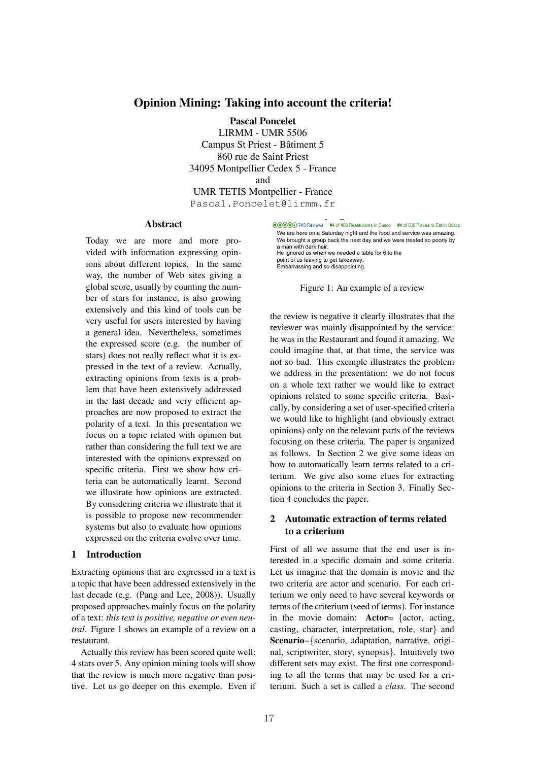# Opinion Mining: Taking into account the criteria!

Pascal Poncelet LIRMM - UMR 5506 Campus St Priest - Batiment 5 ˆ 860 rue de Saint Priest 34095 Montpellier Cedex 5 - France and UMR TETIS Montpellier - France

Pascal.Poncelet@lirmm.fr

## Abstract

Today we are more and more provided with information expressing opinions about different topics. In the same way, the number of Web sites giving a global score, usually by counting the number of stars for instance, is also growing extensively and this kind of tools can be very useful for users interested by having a general idea. Nevertheless, sometimes the expressed score (e.g. the number of stars) does not really reflect what it is expressed in the text of a review. Actually, extracting opinions from texts is a problem that have been extensively addressed in the last decade and very efficient approaches are now proposed to extract the polarity of a text. In this presentation we focus on a topic related with opinion but rather than considering the full text we are interested with the opinions expressed on specific criteria. First we show how criteria can be automatically learnt. Second we illustrate how opinions are extracted. By considering criteria we illustrate that it is possible to propose new recommender systems but also to evaluate how opinions expressed on the criteria evolve over time.

## 1 Introduction

Extracting opinions that are expressed in a text is a topic that have been addressed extensively in the last decade (e.g. (Pang and Lee, 2008)). Usually proposed approaches mainly focus on the polarity of a text: *this text is positive, negative or even neutral*. Figure 1 shows an example of a review on a restaurant.

Actually this review has been scored quite well: 4 stars over 5. Any opinion mining tools will show that the review is much more negative than positive. Let us go deeper on this exemple. Even if ©©©© 743 Reviews | #4 of 466 Restaurants in Cusco | #4 of 505 Places to Eat in Cusco We are here on a Saturday night and the food and service was amazing. We brought a group back the next day and we were treated so poorly by a man with dark hair. He ignored us when we needed a table for 6 to the point of us leaving to get takeaway. Embarrassing and so disappointing.

Figure 1: An example of a review

the review is negative it clearly illustrates that the reviewer was mainly disappointed by the service: he was in the Restaurant and found it amazing. We could imagine that, at that time, the service was not so bad. This exemple illustrates the problem we address in the presentation: we do not focus on a whole text rather we would like to extract opinions related to some specific criteria. Basically, by considering a set of user-specified criteria we would like to highlight (and obviously extract opinions) only on the relevant parts of the reviews focusing on these criteria. The paper is organized as follows. In Section 2 we give some ideas on how to automatically learn terms related to a criterium. We give also some clues for extracting opinions to the criteria in Section 3. Finally Section 4 concludes the paper.

# 2 Automatic extraction of terms related to a criterium

First of all we assume that the end user is interested in a specific domain and some criteria. Let us imagine that the domain is movie and the two criteria are actor and scenario. For each criterium we only need to have several keywords or terms of the criterium (seed of terms). For instance in the movie domain: Actor= *{*actor, acting, casting, character, interpretation, role, star*}* and Scenario=*{*scenario, adaptation, narrative, original, scriptwriter, story, synopsis*}*. Intuitively two different sets may exist. The first one corresponding to all the terms that may be used for a criterium. Such a set is called a *class*. The second